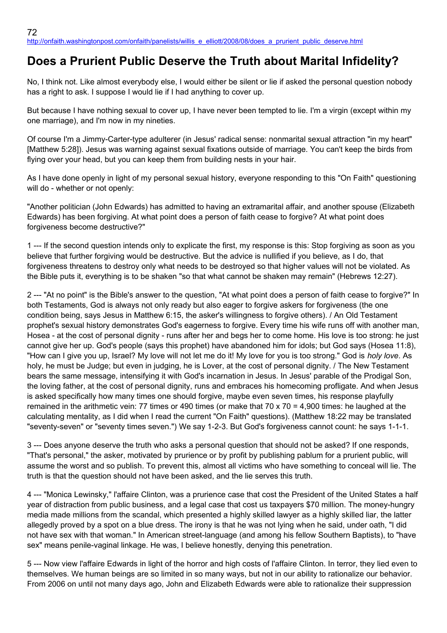## **Does a Prurient Public Deserve the Truth about Marital Infidelity?**

No, I think not. Like almost everybody else, I would either be silent or lie if asked the personal question nobody has a right to ask. I suppose I would lie if I had anything to cover up.

But because I have nothing sexual to cover up, I have never been tempted to lie. I'm a virgin (except within my one marriage), and I'm now in my nineties.

Of course I'm a Jimmy-Carter-type adulterer (in Jesus' radical sense: nonmarital sexual attraction "in my heart" [Matthew 5:28]). Jesus was warning against sexual fixations outside of marriage. You can't keep the birds from flying over your head, but you can keep them from building nests in your hair.

As I have done openly in light of my personal sexual history, everyone responding to this "On Faith" questioning will do - whether or not openly:

"Another politician (John Edwards) has admitted to having an extramarital affair, and another spouse (Elizabeth Edwards) has been forgiving. At what point does a person of faith cease to forgive? At what point does forgiveness become destructive?"

1 --- If the second question intends only to explicate the first, my response is this: Stop forgiving as soon as you believe that further forgiving would be destructive. But the advice is nullified if you believe, as I do, that forgiveness threatens to destroy only what needs to be destroyed so that higher values will not be violated. As the Bible puts it, everything is to be shaken "so that what cannot be shaken may remain" (Hebrews 12:27).

2 --- "At no point" is the Bible's answer to the question, "At what point does a person of faith cease to forgive?" In both Testaments, God is always not only ready but also eager to forgive askers for forgiveness (the one condition being, says Jesus in Matthew 6:15, the asker's willingness to forgive others). / An Old Testament prophet's sexual history demonstrates God's eagerness to forgive. Every time his wife runs off with another man, Hosea - at the cost of personal dignity - runs after her and begs her to come home. His love is too strong: he just cannot give her up. God's people (says this prophet) have abandoned him for idols; but God says (Hosea 11:8), "How can I give you up, Israel? My love will not let me do it! My love for you is too strong." God is *holy love*. As holy, he must be Judge; but even in judging, he is Lover, at the cost of personal dignity. / The New Testament bears the same message, intensifying it with God's incarnation in Jesus. In Jesus' parable of the Prodigal Son, the loving father, at the cost of personal dignity, runs and embraces his homecoming profligate. And when Jesus is asked specifically how many times one should forgive, maybe even seven times, his response playfully remained in the arithmetic vein: 77 times or 490 times (or make that 70 x 70 = 4,900 times: he laughed at the calculating mentality, as I did when I read the current "On Faith" questions). (Matthew 18:22 may be translated "seventy-seven" or "seventy times seven.") We say 1-2-3. But God's forgiveness cannot count: he says 1-1-1.

3 --- Does anyone deserve the truth who asks a personal question that should not be asked? If one responds, "That's personal," the asker, motivated by prurience or by profit by publishing pablum for a prurient public, will assume the worst and so publish. To prevent this, almost all victims who have something to conceal will lie. The truth is that the question should not have been asked, and the lie serves this truth.

4 --- "Monica Lewinsky," l'affaire Clinton, was a prurience case that cost the President of the United States a half year of distraction from public business, and a legal case that cost us taxpayers \$70 million. The money-hungry media made millions from the scandal, which presented a highly skilled lawyer as a highly skilled liar, the latter allegedly proved by a spot on a blue dress. The irony is that he was not lying when he said, under oath, "I did not have sex with that woman." In American street-language (and among his fellow Southern Baptists), to "have sex" means penile-vaginal linkage. He was, I believe honestly, denying this penetration.

5 --- Now view l'affaire Edwards in light of the horror and high costs of l'affaire Clinton. In terror, they lied even to themselves. We human beings are so limited in so many ways, but not in our ability to rationalize our behavior. From 2006 on until not many days ago, John and Elizabeth Edwards were able to rationalize their suppression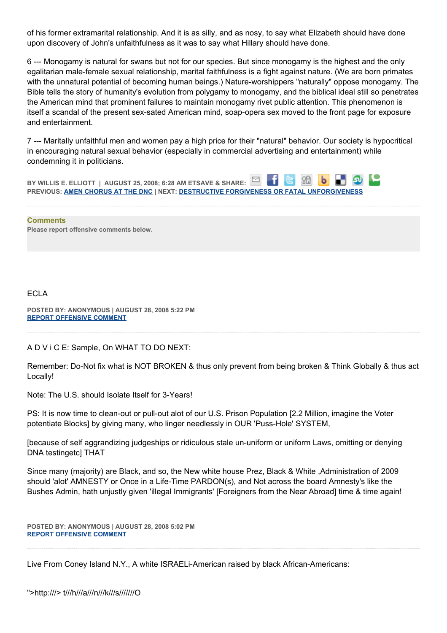of his former extramarital relationship. And it is as silly, and as nosy, to say what Elizabeth should have done upon discovery of John's unfaithfulness as it was to say what Hillary should have done.

6 --- Monogamy is natural for swans but not for our species. But since monogamy is the highest and the only egalitarian male-female sexual relationship, marital faithfulness is a fight against nature. (We are born primates with the unnatural potential of becoming human beings.) Nature-worshippers "naturally" oppose monogamy. The Bible tells the story of humanity's evolution from polygamy to monogamy, and the biblical ideal still so penetrates the American mind that prominent failures to maintain monogamy rivet public attention. This phenomenon is itself a scandal of the present sex-sated American mind, soap-opera sex moved to the front page for exposure and entertainment.

7 --- Maritally unfaithful men and women pay a high price for their "natural" behavior. Our society is hypocritical in encouraging natural sexual behavior (especially in commercial advertising and entertainment) while condemning it in politicians.

**BY WILLIS E. ELLIOTT | AUGUST 25, 2008; 6:28 AM ETSAVE & SHARE: PREVIOUS: [AMEN CHORUS AT THE DNC](http://onfaith.washingtonpost.com/onfaith/panelists/susan_brooks_thistlethwaite/2008/08/amen_at_the_dnc.html) | NEXT: [DESTRUCTIVE FORGIVENESS OR FATAL UNFORGIVENESS](http://onfaith.washingtonpost.com/onfaith/panelists/samuel_rodriguez/2008/08/destructive_forgiveness_or_fat.html)**

**Comments Please report offensive comments below.**

ECLA

**POSTED BY: ANONYMOUS | AUGUST 28, 2008 5:22 PM [REPORT OFFENSIVE COMMENT](mailto:blogs@washingtonpost.com?subject=On%20Faith%20Panelists%20Blog%20%20%7C%20%20Anonymous%20%20%7C%20%20Does%20a%20Prurient%20Public%20Deserve%20the%20Truth%20about%20Marital%20Infidelity?%20%20%7C%20%204511884&body=%0D%0D%0D%0D%0D================%0D?__mode=view%26_type=comment%26id=4511884%26blog_id=618)**

A D V i C E: Sample, On WHAT TO DO NEXT:

Remember: Do-Not fix what is NOT BROKEN & thus only prevent from being broken & Think Globally & thus act Locally!

Note: The U.S. should Isolate Itself for 3-Years!

PS: It is now time to clean-out or pull-out alot of our U.S. Prison Population [2.2 Million, imagine the Voter potentiate Blocks] by giving many, who linger needlessly in OUR 'Puss-Hole' SYSTEM,

[because of self aggrandizing judgeships or ridiculous stale un-uniform or uniform Laws, omitting or denying DNA testingetc] THAT

Since many (majority) are Black, and so, the New white house Prez, Black & White ,Administration of 2009 should 'alot' AMNESTY or Once in a Life-Time PARDON(s), and Not across the board Amnesty's like the Bushes Admin, hath unjustly given 'illegal Immigrants' [Foreigners from the Near Abroad] time & time again!

**POSTED BY: ANONYMOUS | AUGUST 28, 2008 5:02 PM [REPORT OFFENSIVE COMMENT](mailto:blogs@washingtonpost.com?subject=On%20Faith%20Panelists%20Blog%20%20%7C%20%20Anonymous%20%20%7C%20%20Does%20a%20Prurient%20Public%20Deserve%20the%20Truth%20about%20Marital%20Infidelity?%20%20%7C%20%204511858&body=%0D%0D%0D%0D%0D================%0D?__mode=view%26_type=comment%26id=4511858%26blog_id=618)**

Live From Coney Island N.Y., A white ISRAELi-American raised by black African-Americans: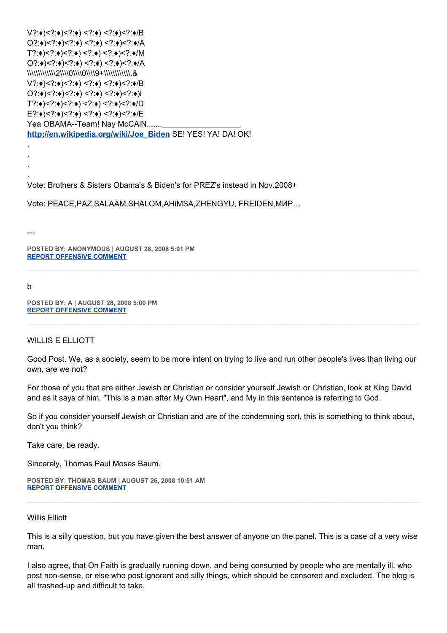V?:♦)<?:♦)<?:♦) <?:♦) <?:♦)<?:♦/B O?:♦)<?:♦)<?:♦) <?:♦) <?:♦)<?:♦/A T?:♦)<?:♦)<?:♦) <?:♦) <?:♦)<?:♦/M O?:♦)<?:♦)<?:♦) <?:♦) <?:♦)<?:♦/A \\\\\\\\\\\\\2\\\\0\\\\0\\\\9+\\\\\\\\\\\\.& V?:♦)<?:♦)<?:♦) <?:♦) <?:♦)<?:♦/B O?:♦)<?:♦)<?:♦) <?:♦) <?:♦)<?:♦)i T?:♦)<?:♦)<?:♦) <?:♦) <?:♦)<?:♦/D E?:♦)<?:♦)<?:♦) <?:♦) <?:♦)<?:♦/E Yea OBAMA--Team! Nay McCAiN....... **[http://en.wikipedia.org/wiki/Joe\\_Biden](http://en.wikipedia.org/wiki/Joe_Biden)** SE! YES! YA! DA! OK! .

Vote: Brothers & Sisters Obama's & Biden's for PREZ's instead in Nov.2008+

Vote: PEACE,PAZ,SALAAM,SHALOM,AHiMSA,ZHENGYU, FREIDEN,МИР…

---

. . .

**POSTED BY: ANONYMOUS | AUGUST 28, 2008 5:01 PM [REPORT OFFENSIVE COMMENT](mailto:blogs@washingtonpost.com?subject=On%20Faith%20Panelists%20Blog%20%20%7C%20%20Anonymous%20%20%7C%20%20Does%20a%20Prurient%20Public%20Deserve%20the%20Truth%20about%20Marital%20Infidelity?%20%20%7C%20%204511855&body=%0D%0D%0D%0D%0D================%0D?__mode=view%26_type=comment%26id=4511855%26blog_id=618)**

## b

**POSTED BY: A | AUGUST 28, 2008 5:00 PM [REPORT OFFENSIVE COMMENT](mailto:blogs@washingtonpost.com?subject=On%20Faith%20Panelists%20Blog%20%20%7C%20%20a%20%20%7C%20%20Does%20a%20Prurient%20Public%20Deserve%20the%20Truth%20about%20Marital%20Infidelity?%20%20%7C%20%204511853&body=%0D%0D%0D%0D%0D================%0D?__mode=view%26_type=comment%26id=4511853%26blog_id=618)**

## WILLIS E ELLIOTT

Good Post. We, as a society, seem to be more intent on trying to live and run other people's lives than living our own, are we not?

For those of you that are either Jewish or Christian or consider yourself Jewish or Christian, look at King David and as it says of him, "This is a man after My Own Heart", and My in this sentence is referring to God.

So if you consider yourself Jewish or Christian and are of the condemning sort, this is something to think about, don't you think?

Take care, be ready.

Sincerely, Thomas Paul Moses Baum.

**POSTED BY: THOMAS BAUM | AUGUST 26, 2008 10:51 AM [REPORT OFFENSIVE COMMENT](mailto:blogs@washingtonpost.com?subject=On%20Faith%20Panelists%20Blog%20%20%7C%20%20Thomas%20Baum%20%20%7C%20%20Does%20a%20Prurient%20Public%20Deserve%20the%20Truth%20about%20Marital%20Infidelity?%20%20%7C%20%204510014&body=%0D%0D%0D%0D%0D================%0D?__mode=view%26_type=comment%26id=4510014%26blog_id=618)**

## Willis Elliott

This is a silly question, but you have given the best answer of anyone on the panel. This is a case of a very wise man.

I also agree, that On Faith is gradually running down, and being consumed by people who are mentally ill, who post non-sense, or else who post ignorant and silly things, which should be censored and excluded. The blog is all trashed-up and difficult to take.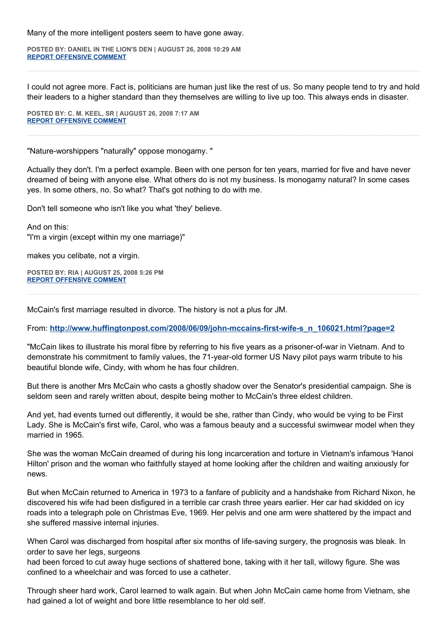Many of the more intelligent posters seem to have gone away.

**POSTED BY: DANIEL IN THE LION'S DEN | AUGUST 26, 2008 10:29 AM [REPORT OFFENSIVE COMMENT](mailto:blogs@washingtonpost.com?subject=On%20Faith%20Panelists%20Blog%20%20%7C%20%20Daniel%20in%20the%20Lion)**

I could not agree more. Fact is, politicians are human just like the rest of us. So many people tend to try and hold their leaders to a higher standard than they themselves are willing to live up too. This always ends in disaster.

**POSTED BY: C. M. KEEL, SR | AUGUST 26, 2008 7:17 AM [REPORT OFFENSIVE COMMENT](mailto:blogs@washingtonpost.com?subject=On%20Faith%20Panelists%20Blog%20%20%7C%20%20C.%20M.%20Keel,%20Sr%20%20%7C%20%20Does%20a%20Prurient%20Public%20Deserve%20the%20Truth%20about%20Marital%20Infidelity?%20%20%7C%20%204509933&body=%0D%0D%0D%0D%0D================%0D?__mode=view%26_type=comment%26id=4509933%26blog_id=618)**

"Nature-worshippers "naturally" oppose monogamy. "

Actually they don't. I'm a perfect example. Been with one person for ten years, married for five and have never dreamed of being with anyone else. What others do is not my business. Is monogamy natural? In some cases yes. In some others, no. So what? That's got nothing to do with me.

Don't tell someone who isn't like you what 'they' believe.

And on this: "I'm a virgin (except within my one marriage)"

makes you celibate, not a virgin.

**POSTED BY: RIA | AUGUST 25, 2008 5:26 PM [REPORT OFFENSIVE COMMENT](mailto:blogs@washingtonpost.com?subject=On%20Faith%20Panelists%20Blog%20%20%7C%20%20Ria%20%20%7C%20%20Does%20a%20Prurient%20Public%20Deserve%20the%20Truth%20about%20Marital%20Infidelity?%20%20%7C%20%204509665&body=%0D%0D%0D%0D%0D================%0D?__mode=view%26_type=comment%26id=4509665%26blog_id=618)**

McCain's first marriage resulted in divorce. The history is not a plus for JM.

From: **[http://www.huffingtonpost.com/2008/06/09/john-mccains-first-wife-s\\_n\\_106021.html?page=2](http://www.huffingtonpost.com/2008/06/09/john-mccains-first-wife-s_n_106021.html?page=2)**

"McCain likes to illustrate his moral fibre by referring to his five years as a prisoner-of-war in Vietnam. And to demonstrate his commitment to family values, the 71-year-old former US Navy pilot pays warm tribute to his beautiful blonde wife, Cindy, with whom he has four children.

But there is another Mrs McCain who casts a ghostly shadow over the Senator's presidential campaign. She is seldom seen and rarely written about, despite being mother to McCain's three eldest children.

And yet, had events turned out differently, it would be she, rather than Cindy, who would be vying to be First Lady. She is McCain's first wife, Carol, who was a famous beauty and a successful swimwear model when they married in 1965.

She was the woman McCain dreamed of during his long incarceration and torture in Vietnam's infamous 'Hanoi Hilton' prison and the woman who faithfully stayed at home looking after the children and waiting anxiously for news.

But when McCain returned to America in 1973 to a fanfare of publicity and a handshake from Richard Nixon, he discovered his wife had been disfigured in a terrible car crash three years earlier. Her car had skidded on icy roads into a telegraph pole on Christmas Eve, 1969. Her pelvis and one arm were shattered by the impact and she suffered massive internal injuries.

When Carol was discharged from hospital after six months of life-saving surgery, the prognosis was bleak. In order to save her legs, surgeons

had been forced to cut away huge sections of shattered bone, taking with it her tall, willowy figure. She was confined to a wheelchair and was forced to use a catheter.

Through sheer hard work, Carol learned to walk again. But when John McCain came home from Vietnam, she had gained a lot of weight and bore little resemblance to her old self.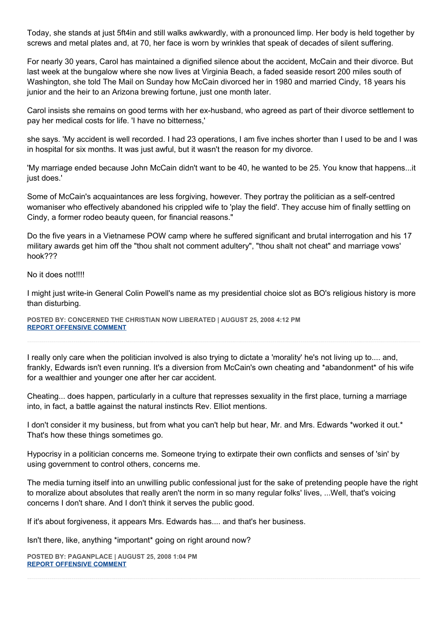Today, she stands at just 5ft4in and still walks awkwardly, with a pronounced limp. Her body is held together by screws and metal plates and, at 70, her face is worn by wrinkles that speak of decades of silent suffering.

For nearly 30 years, Carol has maintained a dignified silence about the accident, McCain and their divorce. But last week at the bungalow where she now lives at Virginia Beach, a faded seaside resort 200 miles south of Washington, she told The Mail on Sunday how McCain divorced her in 1980 and married Cindy, 18 years his junior and the heir to an Arizona brewing fortune, just one month later.

Carol insists she remains on good terms with her ex-husband, who agreed as part of their divorce settlement to pay her medical costs for life. 'I have no bitterness,'

she says. 'My accident is well recorded. I had 23 operations, I am five inches shorter than I used to be and I was in hospital for six months. It was just awful, but it wasn't the reason for my divorce.

'My marriage ended because John McCain didn't want to be 40, he wanted to be 25. You know that happens...it just does.'

Some of McCain's acquaintances are less forgiving, however. They portray the politician as a self-centred womaniser who effectively abandoned his crippled wife to 'play the field'. They accuse him of finally settling on Cindy, a former rodeo beauty queen, for financial reasons."

Do the five years in a Vietnamese POW camp where he suffered significant and brutal interrogation and his 17 military awards get him off the "thou shalt not comment adultery", "thou shalt not cheat" and marriage vows' hook???

No it does not!!!!

I might just write-in General Colin Powell's name as my presidential choice slot as BO's religious history is more than disturbing.

**POSTED BY: CONCERNED THE CHRISTIAN NOW LIBERATED | AUGUST 25, 2008 4:12 PM [REPORT OFFENSIVE COMMENT](mailto:blogs@washingtonpost.com?subject=On%20Faith%20Panelists%20Blog%20%20%7C%20%20Concerned%20The%20Christian%20Now%20Liberated%20%20%7C%20%20Does%20a%20Prurient%20Public%20Deserve%20the%20Truth%20about%20Marital%20Infidelity?%20%20%7C%20%204509624&body=%0D%0D%0D%0D%0D================%0D?__mode=view%26_type=comment%26id=4509624%26blog_id=618)**

I really only care when the politician involved is also trying to dictate a 'morality' he's not living up to.... and, frankly, Edwards isn't even running. It's a diversion from McCain's own cheating and \*abandonment\* of his wife for a wealthier and younger one after her car accident.

Cheating... does happen, particularly in a culture that represses sexuality in the first place, turning a marriage into, in fact, a battle against the natural instincts Rev. Elliot mentions.

I don't consider it my business, but from what you can't help but hear, Mr. and Mrs. Edwards \*worked it out.\* That's how these things sometimes go.

Hypocrisy in a politician concerns me. Someone trying to extirpate their own conflicts and senses of 'sin' by using government to control others, concerns me.

The media turning itself into an unwilling public confessional just for the sake of pretending people have the right to moralize about absolutes that really aren't the norm in so many regular folks' lives, ...Well, that's voicing concerns I don't share. And I don't think it serves the public good.

If it's about forgiveness, it appears Mrs. Edwards has.... and that's her business.

Isn't there, like, anything \*important\* going on right around now?

**POSTED BY: PAGANPLACE | AUGUST 25, 2008 1:04 PM [REPORT OFFENSIVE COMMENT](mailto:blogs@washingtonpost.com?subject=On%20Faith%20Panelists%20Blog%20%20%7C%20%20Paganplace%20%20%7C%20%20Does%20a%20Prurient%20Public%20Deserve%20the%20Truth%20about%20Marital%20Infidelity?%20%20%7C%20%204509511&body=%0D%0D%0D%0D%0D================%0D?__mode=view%26_type=comment%26id=4509511%26blog_id=618)**